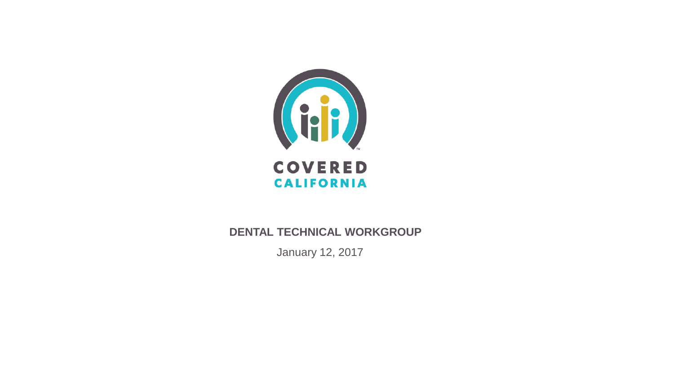

#### **DENTAL TECHNICAL WORKGROUP**

January 12, 2017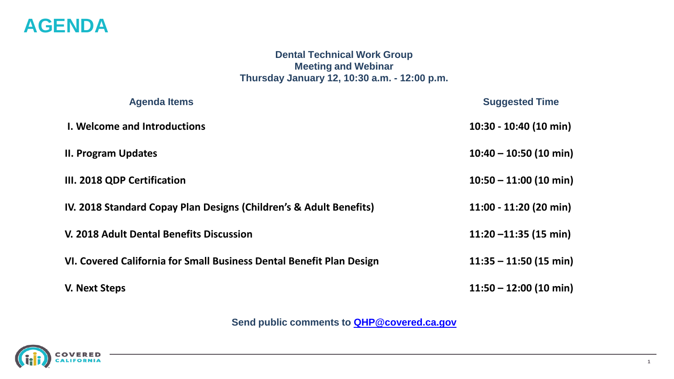

#### **Dental Technical Work Group Meeting and Webinar Thursday January 12, 10:30 a.m. - 12:00 p.m.**

| <b>Agenda Items</b>                                                  | <b>Suggested Time</b>    |
|----------------------------------------------------------------------|--------------------------|
| I. Welcome and Introductions                                         | 10:30 - 10:40 (10 min)   |
| <b>II. Program Updates</b>                                           | $10:40 - 10:50$ (10 min) |
| III. 2018 QDP Certification                                          | $10:50 - 11:00$ (10 min) |
| IV. 2018 Standard Copay Plan Designs (Children's & Adult Benefits)   | 11:00 - 11:20 (20 min)   |
| V. 2018 Adult Dental Benefits Discussion                             | 11:20 $-11:35$ (15 min)  |
| VI. Covered California for Small Business Dental Benefit Plan Design | $11:35 - 11:50$ (15 min) |
| V. Next Steps                                                        | $11:50 - 12:00$ (10 min) |

**Send public comments to [QHP@covered.ca.gov](mailto:QHP@covered.ca.gov)**

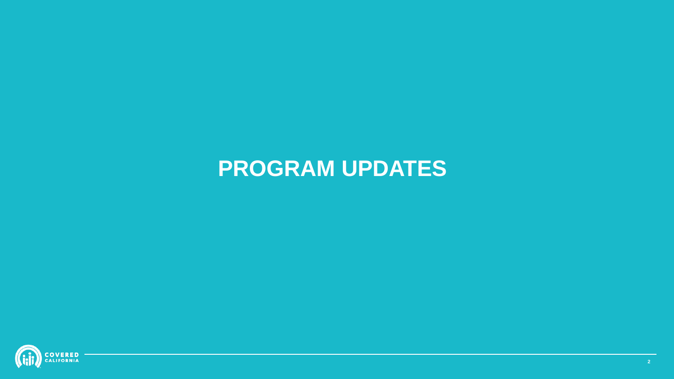# **PROGRAM UPDATES**

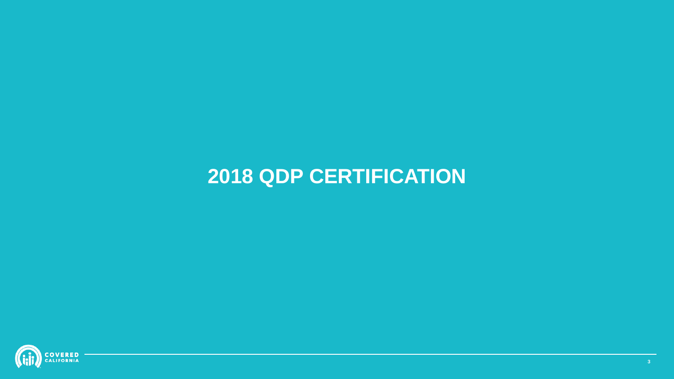

# **2018 QDP CERTIFICATION**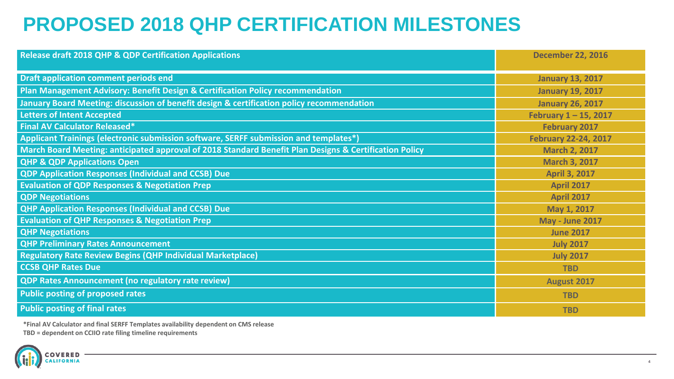## **PROPOSED 2018 QHP CERTIFICATION MILESTONES**

| <b>Release draft 2018 QHP &amp; QDP Certification Applications</b>                                     | <b>December 22, 2016</b>    |
|--------------------------------------------------------------------------------------------------------|-----------------------------|
| <b>Draft application comment periods end</b>                                                           | <b>January 13, 2017</b>     |
| Plan Management Advisory: Benefit Design & Certification Policy recommendation                         | <b>January 19, 2017</b>     |
| January Board Meeting: discussion of benefit design & certification policy recommendation              | <b>January 26, 2017</b>     |
| <b>Letters of Intent Accepted</b>                                                                      | February $1 - 15$ , 2017    |
| <b>Final AV Calculator Released*</b>                                                                   | <b>February 2017</b>        |
| Applicant Trainings (electronic submission software, SERFF submission and templates*)                  | <b>February 22-24, 2017</b> |
| March Board Meeting: anticipated approval of 2018 Standard Benefit Plan Designs & Certification Policy | <b>March 2, 2017</b>        |
| <b>QHP &amp; QDP Applications Open</b>                                                                 | <b>March 3, 2017</b>        |
| <b>QDP Application Responses (Individual and CCSB) Due</b>                                             | <b>April 3, 2017</b>        |
| <b>Evaluation of QDP Responses &amp; Negotiation Prep</b>                                              | <b>April 2017</b>           |
| <b>QDP Negotiations</b>                                                                                | <b>April 2017</b>           |
| <b>QHP Application Responses (Individual and CCSB) Due</b>                                             | May 1, 2017                 |
| <b>Evaluation of QHP Responses &amp; Negotiation Prep</b>                                              | <b>May - June 2017</b>      |
| <b>QHP Negotiations</b>                                                                                | <b>June 2017</b>            |
| <b>QHP Preliminary Rates Announcement</b>                                                              | <b>July 2017</b>            |
| <b>Regulatory Rate Review Begins (QHP Individual Marketplace)</b>                                      | <b>July 2017</b>            |
| <b>CCSB QHP Rates Due</b>                                                                              | <b>TBD</b>                  |
| <b>QDP Rates Announcement (no regulatory rate review)</b>                                              | August 2017                 |
| <b>Public posting of proposed rates</b>                                                                | <b>TBD</b>                  |
| <b>Public posting of final rates</b>                                                                   | <b>TBD</b>                  |

**\*Final AV Calculator and final SERFF Templates availability dependent on CMS release**

**TBD = dependent on CCIIO rate filing timeline requirements**

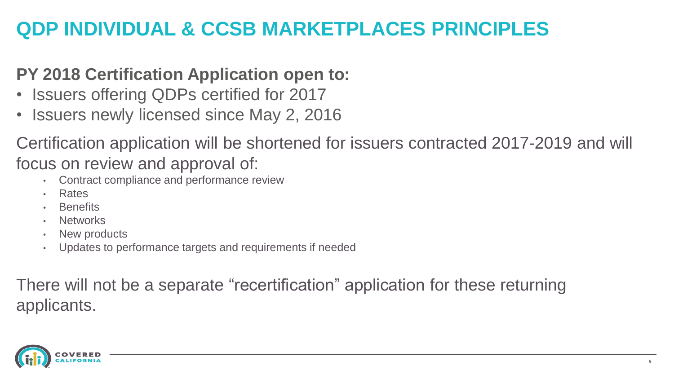## **QDP INDIVIDUAL & CCSB MARKETPLACES PRINCIPLES**

### **PY 2018 Certification Application open to:**

- Issuers offering QDPs certified for 2017
- Issuers newly licensed since May 2, 2016

Certification application will be shortened for issuers contracted 2017-2019 and will focus on review and approval of:

- Contract compliance and performance review
- Rates
- **Benefits**
- **Networks**
- New products
- Updates to performance targets and requirements if needed

There will not be a separate "recertification" application for these returning applicants.

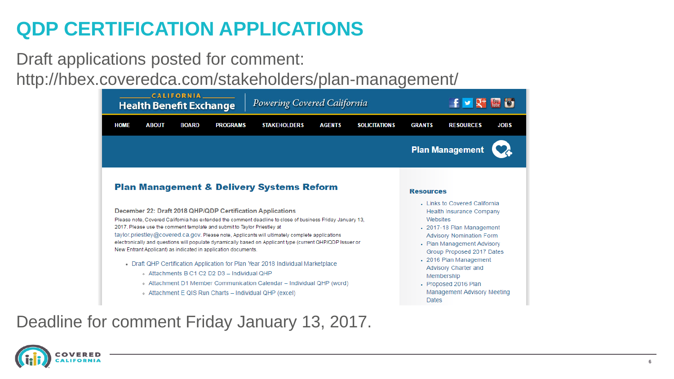## **QDP CERTIFICATION APPLICATIONS**

Draft applications posted for comment:

http://hbex.coveredca.com/stakeholders/plan-management/

| <b>CALIFORNIA</b><br>Powering Covered California<br><b>Health Benefit Exchange</b> |                                                                                                                                                                                                                                                                                                                  |                 |                                                                                                                                                                                                                                                                                                                                                                                                                                                                                                                                            | $f \vee f'$ is the set |                      |                                       |                                                                                                                                                                                                                                                                                                                           |             |
|------------------------------------------------------------------------------------|------------------------------------------------------------------------------------------------------------------------------------------------------------------------------------------------------------------------------------------------------------------------------------------------------------------|-----------------|--------------------------------------------------------------------------------------------------------------------------------------------------------------------------------------------------------------------------------------------------------------------------------------------------------------------------------------------------------------------------------------------------------------------------------------------------------------------------------------------------------------------------------------------|------------------------|----------------------|---------------------------------------|---------------------------------------------------------------------------------------------------------------------------------------------------------------------------------------------------------------------------------------------------------------------------------------------------------------------------|-------------|
| <b>HOME</b>                                                                        | <b>ABOUT</b><br><b>BOARD</b>                                                                                                                                                                                                                                                                                     | <b>PROGRAMS</b> | <b>STAKEHOLDERS</b>                                                                                                                                                                                                                                                                                                                                                                                                                                                                                                                        | <b>AGENTS</b>          | <b>SOLICITATIONS</b> | <b>GRANTS</b>                         | <b>RESOURCES</b>                                                                                                                                                                                                                                                                                                          | <b>JOBS</b> |
|                                                                                    |                                                                                                                                                                                                                                                                                                                  |                 |                                                                                                                                                                                                                                                                                                                                                                                                                                                                                                                                            |                        |                      |                                       | <b>Plan Management</b>                                                                                                                                                                                                                                                                                                    |             |
|                                                                                    | December 22: Draft 2018 QHP/QDP Certification Applications<br>2017. Please use the comment template and submit to Taylor Priestley at<br>New Entrant Applicant) as indicated in application documents.<br>. Attachments B C1 C2 D2 D3 - Individual OHP<br>o Attachment E QIS Run Charts - Individual QHP (excel) |                 | <b>Plan Management &amp; Delivery Systems Reform</b><br>Please note, Covered California has extended the comment deadline to close of business Friday January 13,<br>taylor.priestley@covered.ca.gov. Please note, Applicants will ultimately complete applications<br>electronically and questions will populate dynamically based on Applicant type (current QHP/QDP Issuer or<br>Draft QHP Certification Application for Plan Year 2018 Individual Marketplace<br>. Attachment D1 Member Communication Calendar - Individual QHP (word) |                        |                      | <b>Resources</b><br>Websites<br>Dates | . Links to Covered California<br><b>Health Insurance Company</b><br>• 2017-18 Plan Management<br><b>Advisory Nomination Form</b><br>- Plan Management Advisory<br>Group Proposed 2017 Dates<br>• 2016 Plan Management<br>Advisory Charter and<br>Membership<br>• Proposed 2016 Plan<br><b>Management Advisory Meeting</b> |             |

### Deadline for comment Friday January 13, 2017.

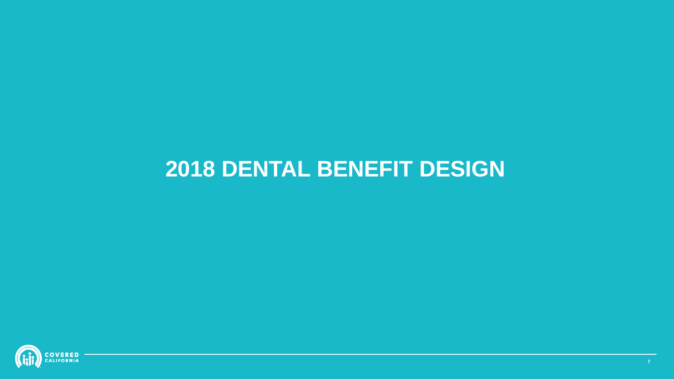# **2018 DENTAL BENEFIT DESIGN**

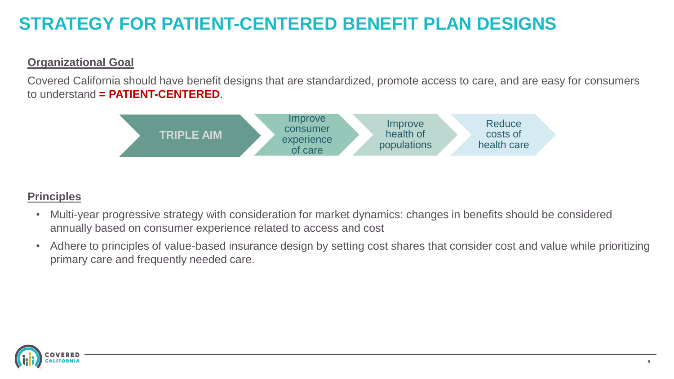## **STRATEGY FOR PATIENT-CENTERED BENEFIT PLAN DESIGNS**

#### **Organizational Goal**

Covered California should have benefit designs that are standardized, promote access to care, and are easy for consumers to understand **= PATIENT-CENTERED**.



#### **Principles**

- Multi-year progressive strategy with consideration for market dynamics: changes in benefits should be considered annually based on consumer experience related to access and cost
- Adhere to principles of value-based insurance design by setting cost shares that consider cost and value while prioritizing primary care and frequently needed care.

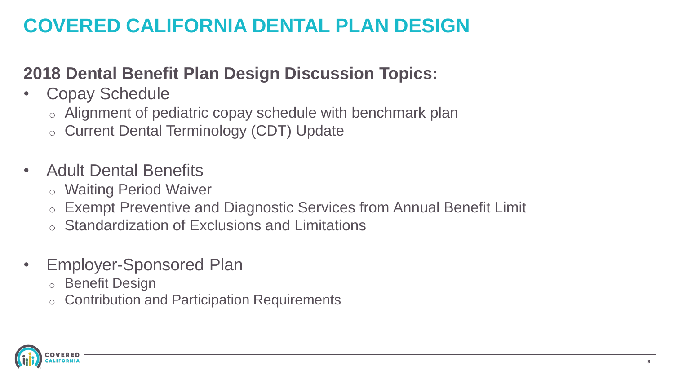## **COVERED CALIFORNIA DENTAL PLAN DESIGN**

### **2018 Dental Benefit Plan Design Discussion Topics:**

- Copay Schedule
	- o Alignment of pediatric copay schedule with benchmark plan
	- o Current Dental Terminology (CDT) Update
- Adult Dental Benefits
	- o Waiting Period Waiver
	- o Exempt Preventive and Diagnostic Services from Annual Benefit Limit
	- o Standardization of Exclusions and Limitations
- Employer-Sponsored Plan
	- o Benefit Design
	- o Contribution and Participation Requirements

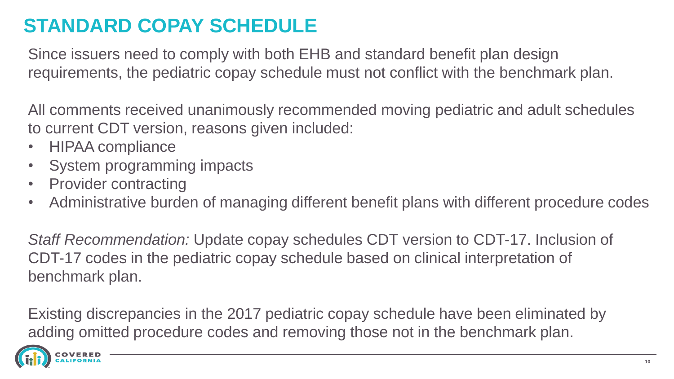## **STANDARD COPAY SCHEDULE**

Since issuers need to comply with both EHB and standard benefit plan design requirements, the pediatric copay schedule must not conflict with the benchmark plan.

All comments received unanimously recommended moving pediatric and adult schedules to current CDT version, reasons given included:

- HIPAA compliance
- System programming impacts
- Provider contracting
- Administrative burden of managing different benefit plans with different procedure codes

*Staff Recommendation:* Update copay schedules CDT version to CDT-17. Inclusion of CDT-17 codes in the pediatric copay schedule based on clinical interpretation of benchmark plan.

Existing discrepancies in the 2017 pediatric copay schedule have been eliminated by adding omitted procedure codes and removing those not in the benchmark plan.

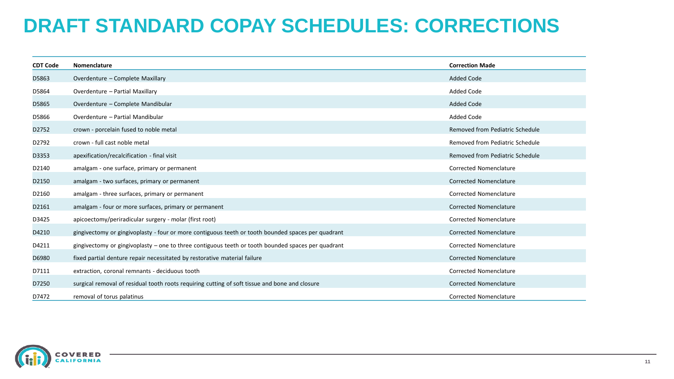## **DRAFT STANDARD COPAY SCHEDULES: CORRECTIONS**

| <b>CDT Code</b> | Nomenclature                                                                                       | <b>Correction Made</b>          |
|-----------------|----------------------------------------------------------------------------------------------------|---------------------------------|
| D5863           | Overdenture - Complete Maxillary                                                                   | Added Code                      |
| D5864           | Overdenture - Partial Maxillary                                                                    | Added Code                      |
| D5865           | Overdenture - Complete Mandibular                                                                  | <b>Added Code</b>               |
| D5866           | Overdenture - Partial Mandibular                                                                   | Added Code                      |
| D2752           | crown - porcelain fused to noble metal                                                             | Removed from Pediatric Schedule |
| D2792           | crown - full cast noble metal                                                                      | Removed from Pediatric Schedule |
| D3353           | apexification/recalcification - final visit                                                        | Removed from Pediatric Schedule |
| D2140           | amalgam - one surface, primary or permanent                                                        | Corrected Nomenclature          |
| D2150           | amalgam - two surfaces, primary or permanent                                                       | Corrected Nomenclature          |
| D2160           | amalgam - three surfaces, primary or permanent                                                     | Corrected Nomenclature          |
| D2161           | amalgam - four or more surfaces, primary or permanent                                              | <b>Corrected Nomenclature</b>   |
| D3425           | apicoectomy/periradicular surgery - molar (first root)                                             | Corrected Nomenclature          |
| D4210           | gingivectomy or gingivoplasty - four or more contiguous teeth or tooth bounded spaces per quadrant | <b>Corrected Nomenclature</b>   |
| D4211           | gingivectomy or gingivoplasty – one to three contiguous teeth or tooth bounded spaces per quadrant | Corrected Nomenclature          |
| D6980           | fixed partial denture repair necessitated by restorative material failure                          | <b>Corrected Nomenclature</b>   |
| D7111           | extraction, coronal remnants - deciduous tooth                                                     | Corrected Nomenclature          |
| D7250           | surgical removal of residual tooth roots requiring cutting of soft tissue and bone and closure     | <b>Corrected Nomenclature</b>   |
| D7472           | removal of torus palatinus                                                                         | Corrected Nomenclature          |

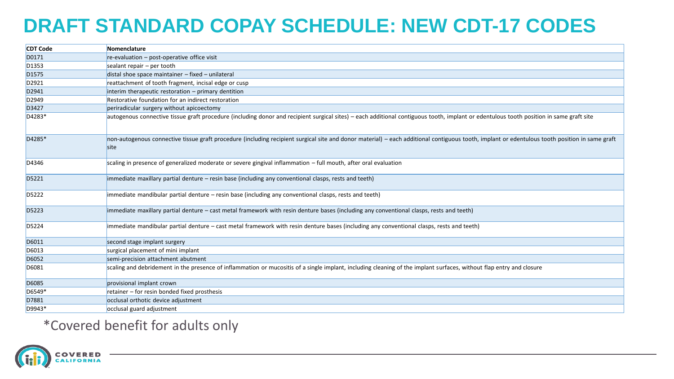## **DRAFT STANDARD COPAY SCHEDULE: NEW CDT-17 CODES**

| <b>CDT Code</b>   | Nomenclature                                                                                                                                                                                           |
|-------------------|--------------------------------------------------------------------------------------------------------------------------------------------------------------------------------------------------------|
| D0171             | $re$ -evaluation – post-operative office visit                                                                                                                                                         |
| D <sub>1353</sub> | sealant repair $-$ per tooth                                                                                                                                                                           |
| D <sub>1575</sub> | distal shoe space maintainer - fixed - unilateral                                                                                                                                                      |
| D2921             | reattachment of tooth fragment, incisal edge or cusp                                                                                                                                                   |
| D2941             | interim therapeutic restoration - primary dentition                                                                                                                                                    |
| D2949             | Restorative foundation for an indirect restoration                                                                                                                                                     |
| D3427             | periradicular surgery without apicoectomy                                                                                                                                                              |
| D4283*            | autogenous connective tissue graft procedure (including donor and recipient surgical sites) – each additional contiguous tooth, implant or edentulous tooth position in same graft site                |
| D4285*            | non-autogenous connective tissue graft procedure (including recipient surgical site and donor material) – each additional contiguous tooth, implant or edentulous tooth position in same graft<br>site |
| D4346             | scaling in presence of generalized moderate or severe gingival inflammation - full mouth, after oral evaluation                                                                                        |
| D5221             | immediate maxillary partial denture – resin base (including any conventional clasps, rests and teeth)                                                                                                  |
| D5222             | immediate mandibular partial denture - resin base (including any conventional clasps, rests and teeth)                                                                                                 |
| D5223             | immediate maxillary partial denture – cast metal framework with resin denture bases (including any conventional clasps, rests and teeth)                                                               |
| D5224             | immediate mandibular partial denture – cast metal framework with resin denture bases (including any conventional clasps, rests and teeth)                                                              |
| D6011             | second stage implant surgery                                                                                                                                                                           |
| D6013             | surgical placement of mini implant                                                                                                                                                                     |
| D6052             | semi-precision attachment abutment                                                                                                                                                                     |
| D6081             | scaling and debridement in the presence of inflammation or mucositis of a single implant, including cleaning of the implant surfaces, without flap entry and closure                                   |
| D6085             | provisional implant crown                                                                                                                                                                              |
| D6549*            | retainer – for resin bonded fixed prosthesis                                                                                                                                                           |
| D7881             | occlusal orthotic device adjustment                                                                                                                                                                    |
| D9943*            | occlusal guard adjustment                                                                                                                                                                              |

#### \*Covered benefit for adults only

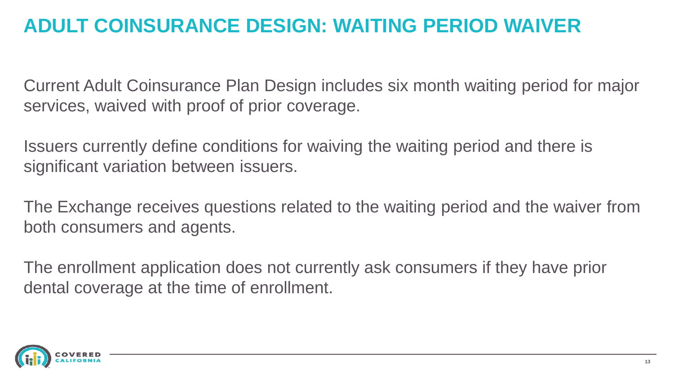## **ADULT COINSURANCE DESIGN: WAITING PERIOD WAIVER**

Current Adult Coinsurance Plan Design includes six month waiting period for major services, waived with proof of prior coverage.

Issuers currently define conditions for waiving the waiting period and there is significant variation between issuers.

The Exchange receives questions related to the waiting period and the waiver from both consumers and agents.

The enrollment application does not currently ask consumers if they have prior dental coverage at the time of enrollment.

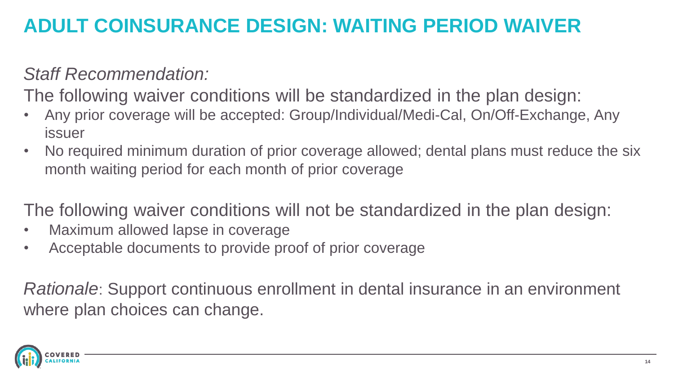## **ADULT COINSURANCE DESIGN: WAITING PERIOD WAIVER**

### *Staff Recommendation:*

The following waiver conditions will be standardized in the plan design:

- Any prior coverage will be accepted: Group/Individual/Medi-Cal, On/Off-Exchange, Any issuer
- No required minimum duration of prior coverage allowed; dental plans must reduce the six month waiting period for each month of prior coverage

The following waiver conditions will not be standardized in the plan design:

- Maximum allowed lapse in coverage
- Acceptable documents to provide proof of prior coverage

*Rationale*: Support continuous enrollment in dental insurance in an environment where plan choices can change.

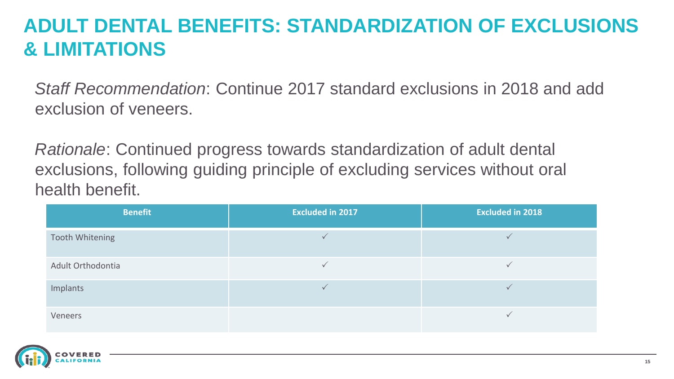## **ADULT DENTAL BENEFITS: STANDARDIZATION OF EXCLUSIONS & LIMITATIONS**

*Staff Recommendation*: Continue 2017 standard exclusions in 2018 and add exclusion of veneers.

*Rationale*: Continued progress towards standardization of adult dental exclusions, following guiding principle of excluding services without oral health benefit.

| <b>Benefit</b>    | <b>Excluded in 2017</b> | <b>Excluded in 2018</b> |
|-------------------|-------------------------|-------------------------|
| Tooth Whitening   |                         |                         |
| Adult Orthodontia |                         |                         |
| Implants          |                         |                         |
| Veneers           |                         |                         |

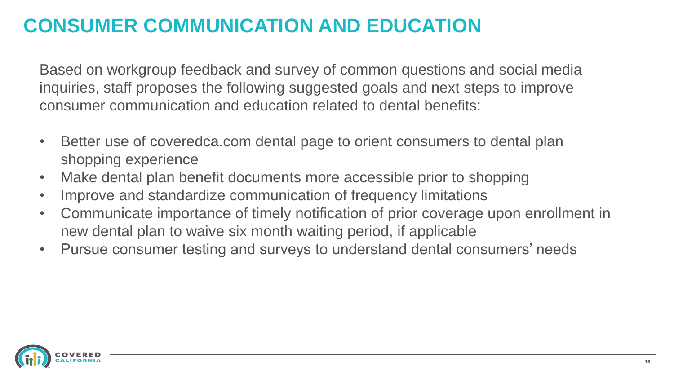## **CONSUMER COMMUNICATION AND EDUCATION**

Based on workgroup feedback and survey of common questions and social media inquiries, staff proposes the following suggested goals and next steps to improve consumer communication and education related to dental benefits:

- Better use of coveredca.com dental page to orient consumers to dental plan shopping experience
- Make dental plan benefit documents more accessible prior to shopping
- Improve and standardize communication of frequency limitations
- Communicate importance of timely notification of prior coverage upon enrollment in new dental plan to waive six month waiting period, if applicable
- Pursue consumer testing and surveys to understand dental consumers' needs

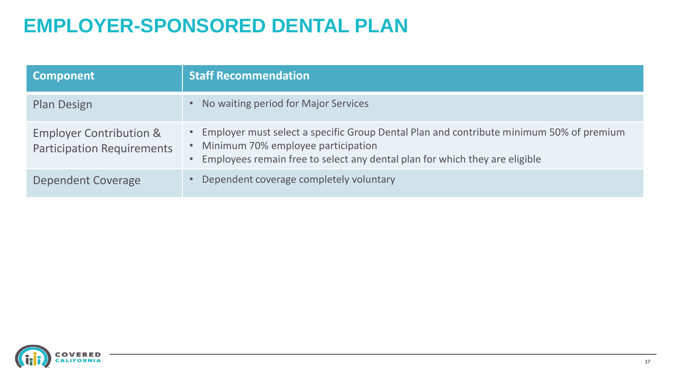## **EMPLOYER-SPONSORED DENTAL PLAN**

| <b>Component</b>                                                        | <b>Staff Recommendation</b>                                                                                                                                                                                      |
|-------------------------------------------------------------------------|------------------------------------------------------------------------------------------------------------------------------------------------------------------------------------------------------------------|
| <b>Plan Design</b>                                                      | No waiting period for Major Services                                                                                                                                                                             |
| <b>Employer Contribution &amp;</b><br><b>Participation Requirements</b> | • Employer must select a specific Group Dental Plan and contribute minimum 50% of premium<br>Minimum 70% employee participation<br>• Employees remain free to select any dental plan for which they are eligible |
| Dependent Coverage                                                      | Dependent coverage completely voluntary                                                                                                                                                                          |